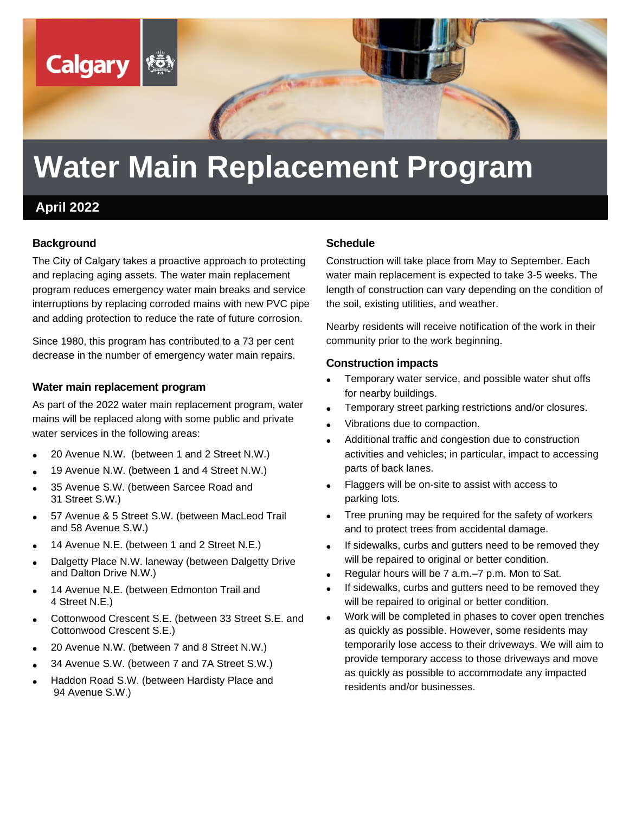

# **Water Main Replacement Program**

# **April 2022**

#### **Background**

The City of Calgary takes a proactive approach to protecting and replacing aging assets. The water main replacement program reduces emergency water main breaks and service interruptions by replacing corroded mains with new PVC pipe and adding protection to reduce the rate of future corrosion.

Since 1980, this program has contributed to a 73 per cent decrease in the number of emergency water main repairs.

#### **Water main replacement program**

As part of the 2022 water main replacement program, water mains will be replaced along with some public and private water services in the following areas:

- 20 Avenue N.W. (between 1 and 2 Street N.W.)
- 19 Avenue N.W. (between 1 and 4 Street N.W.)
- 35 Avenue S.W. (between Sarcee Road and 31 Street S.W.)
- 57 Avenue & 5 Street S.W. (between MacLeod Trail and 58 Avenue S.W.)
- 14 Avenue N.E. (between 1 and 2 Street N.E.)
- Dalgetty Place N.W. laneway (between Dalgetty Drive and Dalton Drive N.W.)
- 14 Avenue N.E. (between Edmonton Trail and 4 Street N.E.)
- Cottonwood Crescent S.E. (between 33 Street S.E. and Cottonwood Crescent S.E.)
- 20 Avenue N.W. (between 7 and 8 Street N.W.)
- 34 Avenue S.W. (between 7 and 7A Street S.W.)
- Haddon Road S.W. (between Hardisty Place and 94 Avenue S.W.)

#### **Schedule**

Construction will take place from May to September. Each water main replacement is expected to take 3-5 weeks. The length of construction can vary depending on the condition of the soil, existing utilities, and weather.

Nearby residents will receive notification of the work in their community prior to the work beginning.

#### **Construction impacts**

- Temporary water service, and possible water shut offs for nearby buildings.
- Temporary street parking restrictions and/or closures.
- Vibrations due to compaction.
- Additional traffic and congestion due to construction activities and vehicles; in particular, impact to accessing parts of back lanes.
- Flaggers will be on-site to assist with access to parking lots.
- Tree pruning may be required for the safety of workers and to protect trees from accidental damage.
- If sidewalks, curbs and gutters need to be removed they will be repaired to original or better condition.
- Regular hours will be 7 a.m.–7 p.m. Mon to Sat.
- If sidewalks, curbs and gutters need to be removed they will be repaired to original or better condition.
- Work will be completed in phases to cover open trenches as quickly as possible. However, some residents may temporarily lose access to their driveways. We will aim to provide temporary access to those driveways and move as quickly as possible to accommodate any impacted residents and/or businesses.